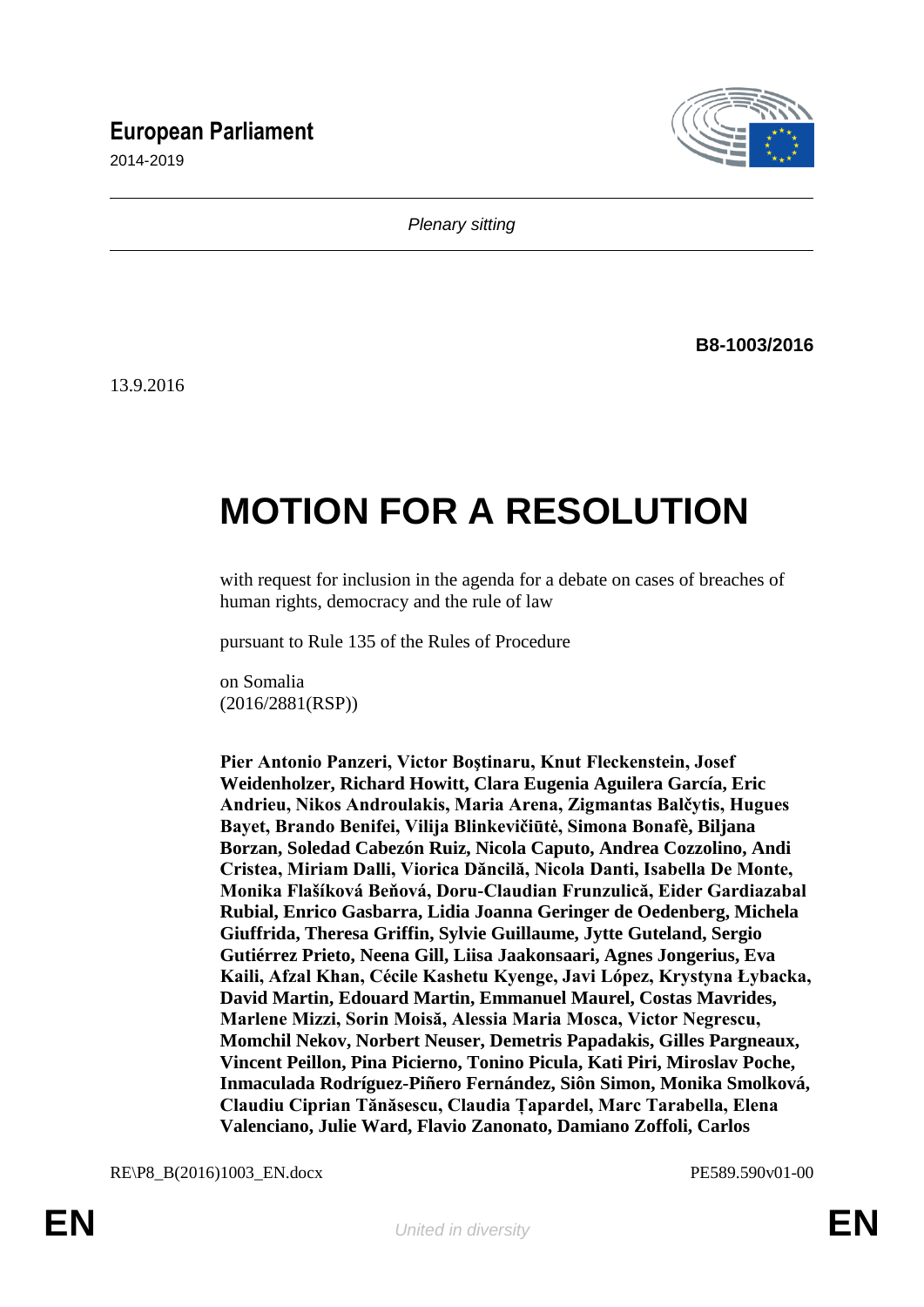## **European Parliament**

2014-2019



*Plenary sitting*

**B8-1003/2016**

13.9.2016

# **MOTION FOR A RESOLUTION**

with request for inclusion in the agenda for a debate on cases of breaches of human rights, democracy and the rule of law

pursuant to Rule 135 of the Rules of Procedure

on Somalia (2016/2881(RSP))

**Pier Antonio Panzeri, Victor Boştinaru, Knut Fleckenstein, Josef Weidenholzer, Richard Howitt, Clara Eugenia Aguilera García, Eric Andrieu, Nikos Androulakis, Maria Arena, Zigmantas Balčytis, Hugues Bayet, Brando Benifei, Vilija Blinkevičiūtė, Simona Bonafè, Biljana Borzan, Soledad Cabezón Ruiz, Nicola Caputo, Andrea Cozzolino, Andi Cristea, Miriam Dalli, Viorica Dăncilă, Nicola Danti, Isabella De Monte, Monika Flašíková Beňová, Doru-Claudian Frunzulică, Eider Gardiazabal Rubial, Enrico Gasbarra, Lidia Joanna Geringer de Oedenberg, Michela Giuffrida, Theresa Griffin, Sylvie Guillaume, Jytte Guteland, Sergio Gutiérrez Prieto, Neena Gill, Liisa Jaakonsaari, Agnes Jongerius, Eva Kaili, Afzal Khan, Cécile Kashetu Kyenge, Javi López, Krystyna Łybacka, David Martin, Edouard Martin, Emmanuel Maurel, Costas Mavrides, Marlene Mizzi, Sorin Moisă, Alessia Maria Mosca, Victor Negrescu, Momchil Nekov, Norbert Neuser, Demetris Papadakis, Gilles Pargneaux, Vincent Peillon, Pina Picierno, Tonino Picula, Kati Piri, Miroslav Poche, Inmaculada Rodríguez-Piñero Fernández, Siôn Simon, Monika Smolková, Claudiu Ciprian Tănăsescu, Claudia Țapardel, Marc Tarabella, Elena Valenciano, Julie Ward, Flavio Zanonato, Damiano Zoffoli, Carlos** 

RE\P8\_B(2016)1003\_EN.docx PE589.590v01-00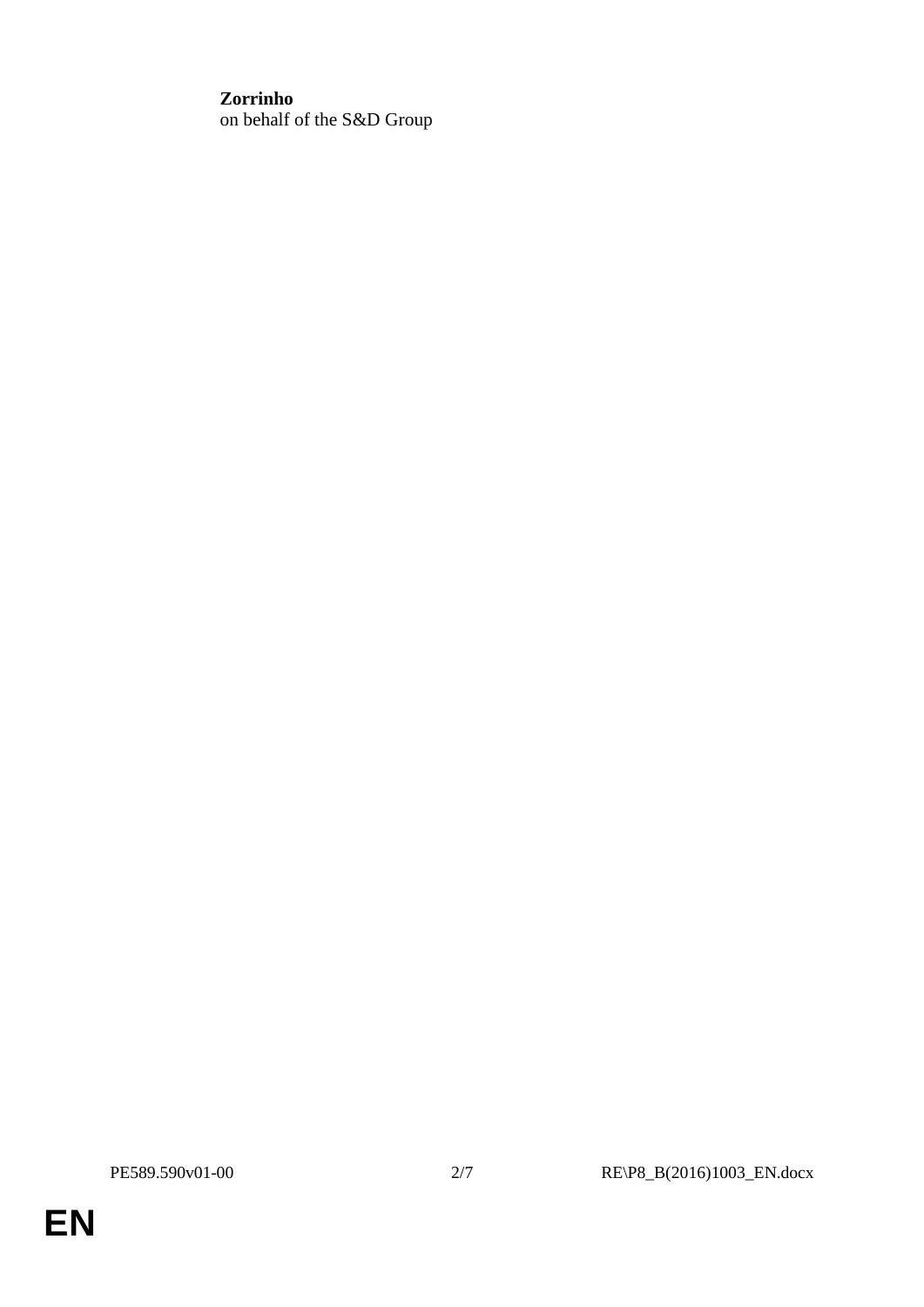### **Zorrinho**

on behalf of the S&D Group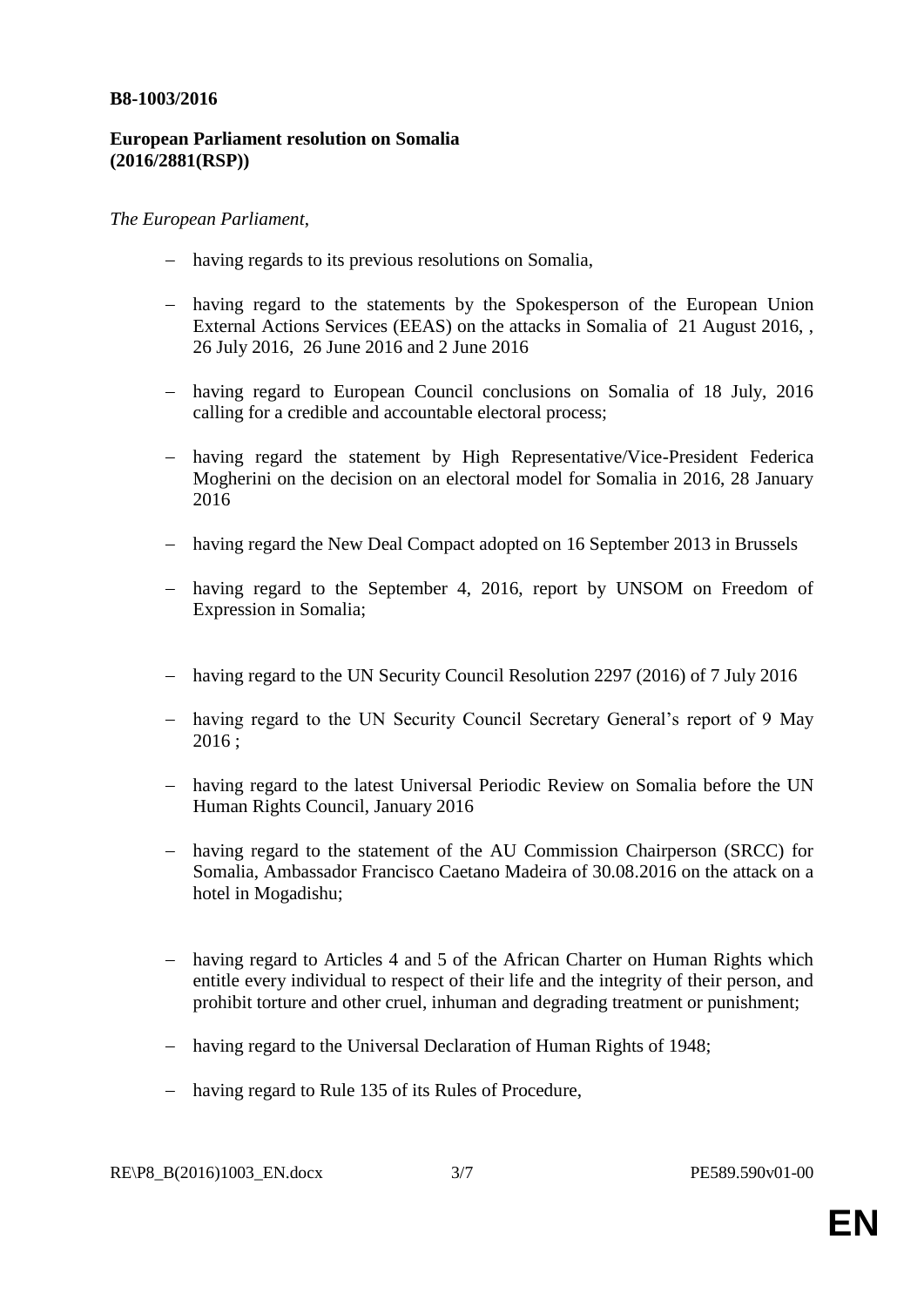#### **B8-1003/2016**

#### **European Parliament resolution on Somalia (2016/2881(RSP))**

#### *The European Parliament*,

- having regards to its previous resolutions on Somalia,
- having regard to the statements by the Spokesperson of the European Union External Actions Services (EEAS) on the attacks in Somalia of 21 August 2016, , 26 July 2016, 26 June 2016 and 2 June 2016
- having regard to European Council conclusions on Somalia of 18 July, 2016 calling for a credible and accountable electoral process;
- having regard the statement by High Representative/Vice-President Federica Mogherini on the decision on an electoral model for Somalia in 2016, 28 January 2016
- having regard the New Deal Compact adopted on 16 September 2013 in Brussels
- having regard to the September 4, 2016, report by UNSOM on Freedom of Expression in Somalia;
- having regard to the UN Security Council Resolution 2297 (2016) of 7 July 2016
- having regard to the UN Security Council Secretary General's report of 9 May  $2016:$
- having regard to the latest Universal Periodic Review on Somalia before the UN Human Rights Council, January 2016
- having regard to the statement of the AU Commission Chairperson (SRCC) for Somalia, Ambassador Francisco Caetano Madeira of 30.08.2016 on the attack on a hotel in Mogadishu;
- having regard to Articles 4 and 5 of the African Charter on Human Rights which entitle every individual to respect of their life and the integrity of their person, and prohibit torture and other cruel, inhuman and degrading treatment or punishment;
- having regard to the Universal Declaration of Human Rights of 1948;
- having regard to Rule 135 of its Rules of Procedure,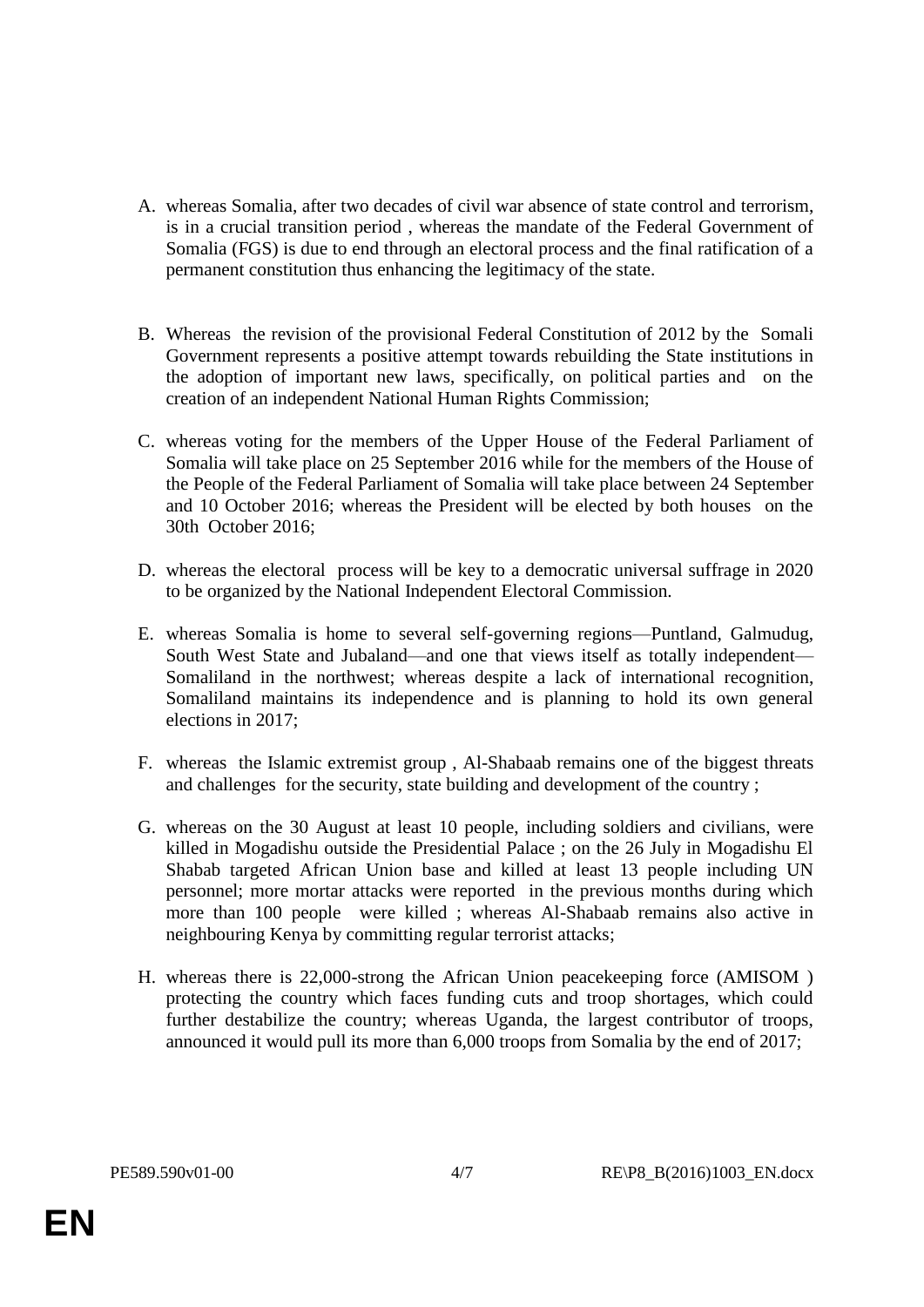- A. whereas Somalia, after two decades of civil war absence of state control and terrorism, is in a crucial transition period , whereas the mandate of the Federal Government of Somalia (FGS) is due to end through an electoral process and the final ratification of a permanent constitution thus enhancing the legitimacy of the state.
- B. Whereas the revision of the provisional Federal Constitution of 2012 by the Somali Government represents a positive attempt towards rebuilding the State institutions in the adoption of important new laws, specifically, on political parties and on the creation of an independent National Human Rights Commission;
- C. whereas voting for the members of the Upper House of the Federal Parliament of Somalia will take place on 25 September 2016 while for the members of the House of the People of the Federal Parliament of Somalia will take place between 24 September and 10 October 2016; whereas the President will be elected by both houses on the 30th October 2016;
- D. whereas the electoral process will be key to a democratic universal suffrage in 2020 to be organized by the National Independent Electoral Commission.
- E. whereas Somalia is home to several self-governing regions—Puntland, Galmudug, South West State and Jubaland—and one that views itself as totally independent— Somaliland in the northwest; whereas despite a lack of international recognition, Somaliland maintains its independence and is planning to hold its own general elections in 2017;
- F. whereas the Islamic extremist group , Al-Shabaab remains one of the biggest threats and challenges for the security, state building and development of the country ;
- G. whereas on the 30 August at least 10 people, including soldiers and civilians, were killed in Mogadishu outside the Presidential Palace ; on the 26 July in Mogadishu El Shabab targeted African Union base and killed at least 13 people including UN personnel; more mortar attacks were reported in the previous months during which more than 100 people were killed ; whereas Al-Shabaab remains also active in neighbouring Kenya by committing regular terrorist attacks;
- H. whereas there is 22,000-strong the African Union peacekeeping force (AMISOM ) protecting the country which faces funding cuts and troop shortages, which could further destabilize the country; whereas Uganda, the largest contributor of troops, announced it would pull its more than 6,000 troops from Somalia by the end of 2017;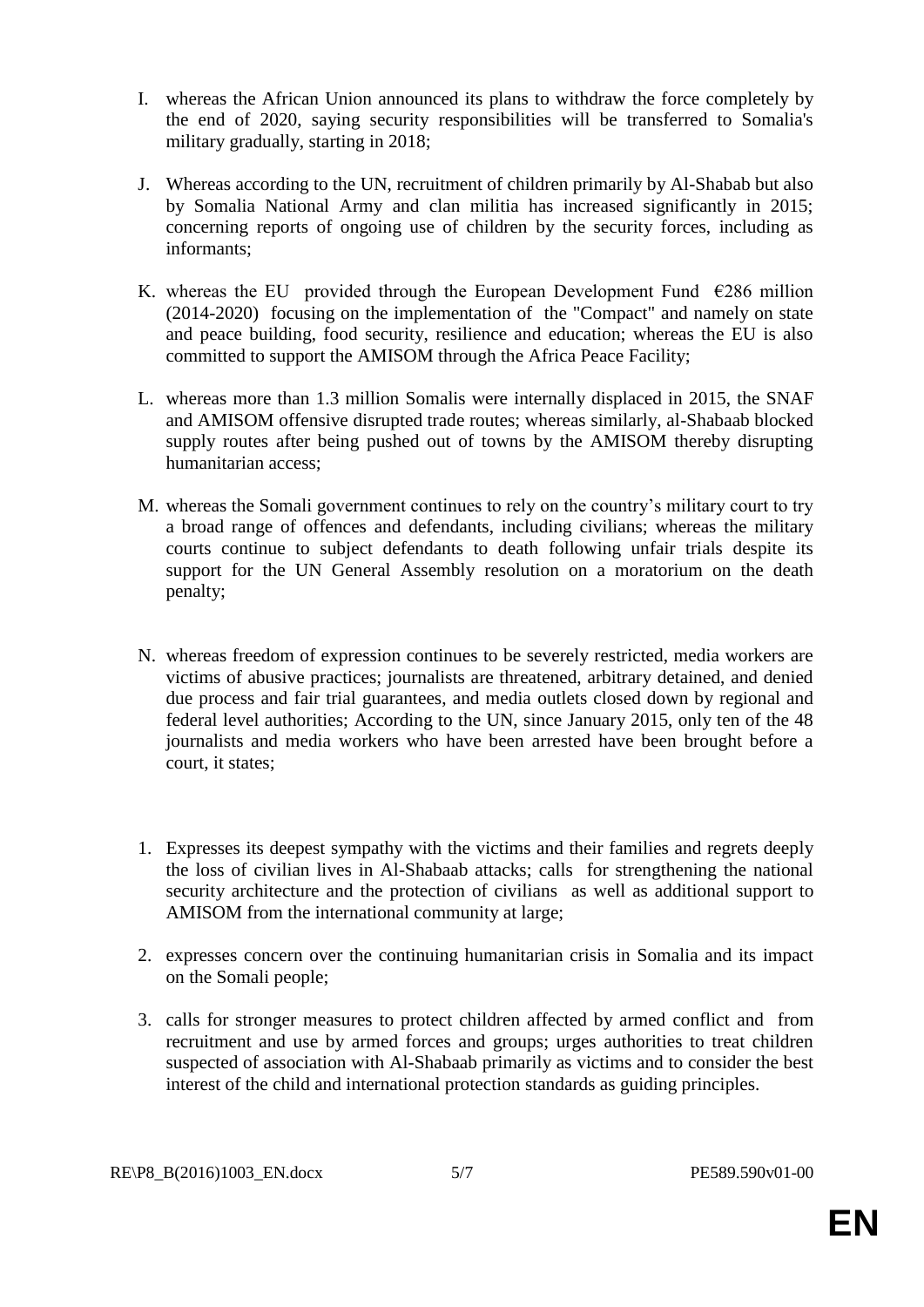- I. whereas the African Union announced its plans to withdraw the force completely by the end of 2020, saying security responsibilities will be transferred to Somalia's military gradually, starting in 2018;
- J. Whereas according to the UN, recruitment of children primarily by Al-Shabab but also by Somalia National Army and clan militia has increased significantly in 2015; concerning reports of ongoing use of children by the security forces, including as informants;
- K. whereas the EU provided through the European Development Fund  $\epsilon$ 286 million (2014-2020) focusing on the implementation of the "Compact" and namely on state and peace building, food security, resilience and education; whereas the EU is also committed to support the AMISOM through the Africa Peace Facility;
- L. whereas more than 1.3 million Somalis were internally displaced in 2015, the SNAF and AMISOM offensive disrupted trade routes; whereas similarly, al-Shabaab blocked supply routes after being pushed out of towns by the AMISOM thereby disrupting humanitarian access;
- M. whereas the Somali government continues to rely on the country's military court to try a broad range of offences and defendants, including civilians; whereas the military courts continue to subject defendants to death following unfair trials despite its support for the UN General Assembly resolution on a moratorium on the death penalty;
- N. whereas freedom of expression continues to be severely restricted, media workers are victims of abusive practices; journalists are threatened, arbitrary detained, and denied due process and fair trial guarantees, and media outlets closed down by regional and federal level authorities; According to the UN, since January 2015, only ten of the 48 journalists and media workers who have been arrested have been brought before a court, it states;
- 1. Expresses its deepest sympathy with the victims and their families and regrets deeply the loss of civilian lives in Al-Shabaab attacks; calls for strengthening the national security architecture and the protection of civilians as well as additional support to AMISOM from the international community at large;
- 2. expresses concern over the continuing humanitarian crisis in Somalia and its impact on the Somali people;
- 3. calls for stronger measures to protect children affected by armed conflict and from recruitment and use by armed forces and groups; urges authorities to treat children suspected of association with Al-Shabaab primarily as victims and to consider the best interest of the child and international protection standards as guiding principles.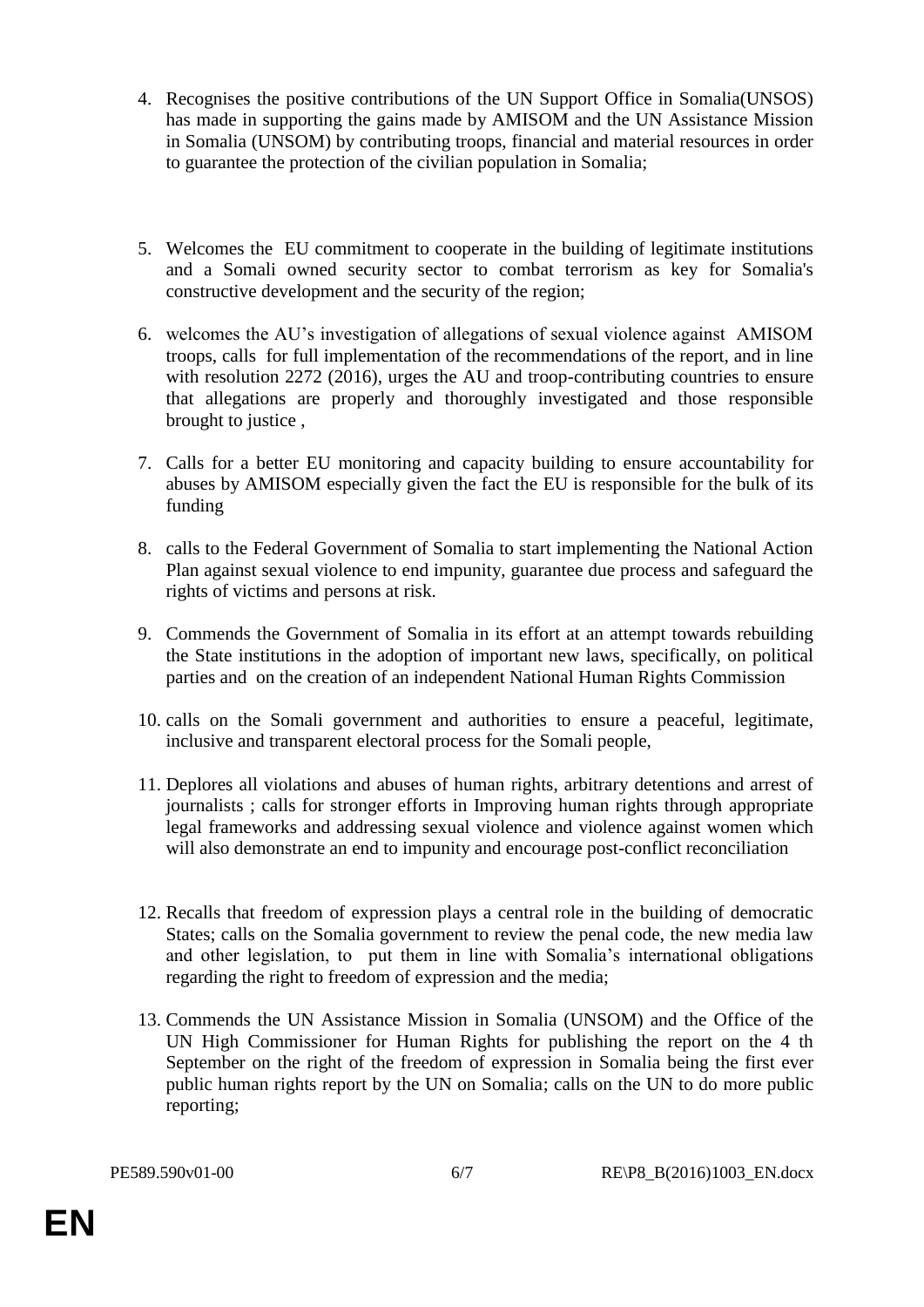- 4. Recognises the positive contributions of the UN Support Office in Somalia(UNSOS) has made in supporting the gains made by AMISOM and the UN Assistance Mission in Somalia (UNSOM) by contributing troops, financial and material resources in order to guarantee the protection of the civilian population in Somalia;
- 5. Welcomes the EU commitment to cooperate in the building of legitimate institutions and a Somali owned security sector to combat terrorism as key for Somalia's constructive development and the security of the region;
- 6. welcomes the AU's investigation of allegations of sexual violence against AMISOM troops, calls for full implementation of the recommendations of the report, and in line with resolution 2272 (2016), urges the AU and troop-contributing countries to ensure that allegations are properly and thoroughly investigated and those responsible brought to justice ,
- 7. Calls for a better EU monitoring and capacity building to ensure accountability for abuses by AMISOM especially given the fact the EU is responsible for the bulk of its funding
- 8. calls to the Federal Government of Somalia to start implementing the National Action Plan against sexual violence to end impunity, guarantee due process and safeguard the rights of victims and persons at risk.
- 9. Commends the Government of Somalia in its effort at an attempt towards rebuilding the State institutions in the adoption of important new laws, specifically, on political parties and on the creation of an independent National Human Rights Commission
- 10. calls on the Somali government and authorities to ensure a peaceful, legitimate, inclusive and transparent electoral process for the Somali people,
- 11. Deplores all violations and abuses of human rights, arbitrary detentions and arrest of journalists ; calls for stronger efforts in Improving human rights through appropriate legal frameworks and addressing sexual violence and violence against women which will also demonstrate an end to impunity and encourage post-conflict reconciliation
- 12. Recalls that freedom of expression plays a central role in the building of democratic States; calls on the Somalia government to review the penal code, the new media law and other legislation, to put them in line with Somalia's international obligations regarding the right to freedom of expression and the media;
- 13. Commends the UN Assistance Mission in Somalia (UNSOM) and the Office of the UN High Commissioner for Human Rights for publishing the report on the 4 th September on the right of the freedom of expression in Somalia being the first ever public human rights report by the UN on Somalia; calls on the UN to do more public reporting;